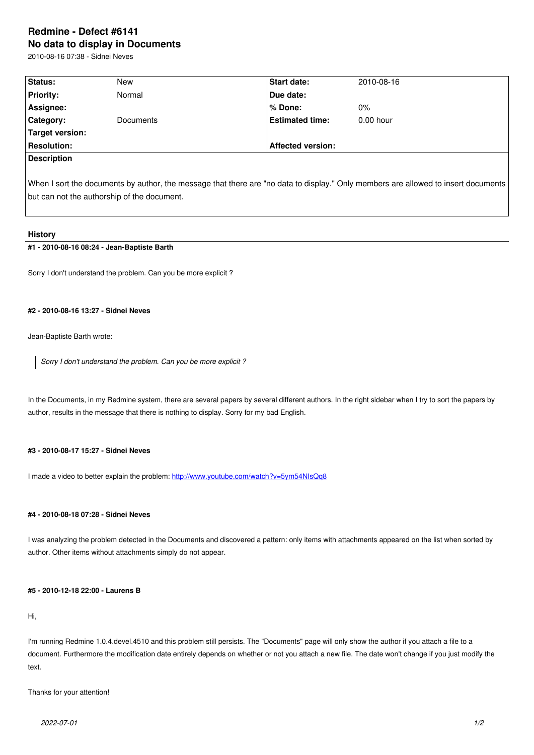#### **No data to display in Documents**

2010-08-16 07:38 - Sidnei Neves

| Status:            | New       | <b>Start date:</b>       | 2010-08-16  |  |
|--------------------|-----------|--------------------------|-------------|--|
| <b>Priority:</b>   | Normal    | Due date:                |             |  |
| Assignee:          |           | l% Done:                 | $0\%$       |  |
| Category:          | Documents | <b>Estimated time:</b>   | $0.00$ hour |  |
| Target version:    |           |                          |             |  |
| <b>Resolution:</b> |           | <b>Affected version:</b> |             |  |
| <b>Description</b> |           |                          |             |  |
|                    |           |                          |             |  |

When I sort the documents by author, the message that there are "no data to display." Only members are allowed to insert documents but can not the authorship of the document.

#### **History**

### **#1 - 2010-08-16 08:24 - Jean-Baptiste Barth**

Sorry I don't understand the problem. Can you be more explicit ?

# **#2 - 2010-08-16 13:27 - Sidnei Neves**

Jean-Baptiste Barth wrote:

*Sorry I don't understand the problem. Can you be more explicit ?*

In the Documents, in my Redmine system, there are several papers by several different authors. In the right sidebar when I try to sort the papers by author, results in the message that there is nothing to display. Sorry for my bad English.

#### **#3 - 2010-08-17 15:27 - Sidnei Neves**

I made a video to better explain the problem: http://www.youtube.com/watch?v=5ym54NIsQq8

# **#4 - 2010-08-18 07:28 - Sidnei Neves**

I was analyzing the problem detected in the Documents and discovered a pattern: only items with attachments appeared on the list when sorted by author. Other items without attachments simply do not appear.

#### **#5 - 2010-12-18 22:00 - Laurens B**

Hi,

I'm running Redmine 1.0.4.devel.4510 and this problem still persists. The "Documents" page will only show the author if you attach a file to a document. Furthermore the modification date entirely depends on whether or not you attach a new file. The date won't change if you just modify the text.

Thanks for your attention!